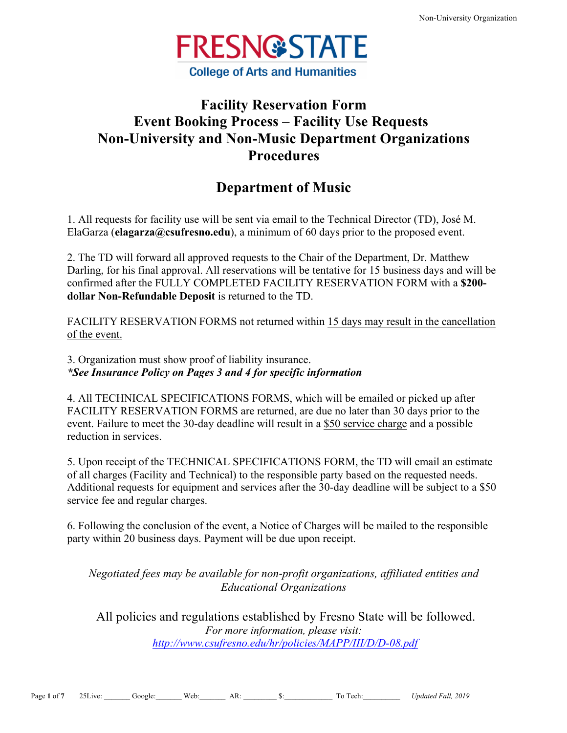

# **Facility Reservation Form Event Booking Process – Facility Use Requests Non-University and Non-Music Department Organizations Procedures**

## **Department of Music**

1. All requests for facility use will be sent via email to the Technical Director (TD), José M. ElaGarza (**elagarza@csufresno.edu**), a minimum of 60 days prior to the proposed event.

2. The TD will forward all approved requests to the Chair of the Department, Dr. Matthew Darling, for his final approval. All reservations will be tentative for 15 business days and will be confirmed after the FULLY COMPLETED FACILITY RESERVATION FORM with a **\$200 dollar Non-Refundable Deposit** is returned to the TD.

FACILITY RESERVATION FORMS not returned within 15 days may result in the cancellation of the event.

3. Organization must show proof of liability insurance. *\*See Insurance Policy on Pages 3 and 4 for specific information*

4. All TECHNICAL SPECIFICATIONS FORMS, which will be emailed or picked up after FACILITY RESERVATION FORMS are returned, are due no later than 30 days prior to the event. Failure to meet the 30-day deadline will result in a \$50 service charge and a possible reduction in services.

5. Upon receipt of the TECHNICAL SPECIFICATIONS FORM, the TD will email an estimate of all charges (Facility and Technical) to the responsible party based on the requested needs. Additional requests for equipment and services after the 30-day deadline will be subject to a \$50 service fee and regular charges.

6. Following the conclusion of the event, a Notice of Charges will be mailed to the responsible party within 20 business days. Payment will be due upon receipt.

*Negotiated fees may be available for non-profit organizations, affiliated entities and Educational Organizations*

All policies and regulations established by Fresno State will be followed. *For more information, please visit: http://www.csufresno.edu/hr/policies/MAPP/III/D/D-08.pdf*

Page 1 of 7 25 Live: Google: Web: AR: S: To Tech: Updated Fall, 2019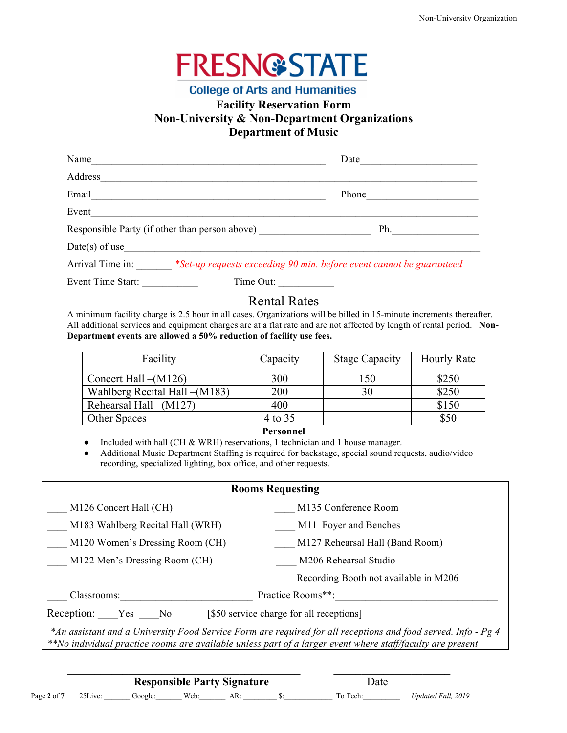

### **College of Arts and Humanities Facility Reservation Form Non-University & Non-Department Organizations Department of Music**

| Name                                           | Date                                                                 |
|------------------------------------------------|----------------------------------------------------------------------|
| Address                                        |                                                                      |
| Email                                          | Phone                                                                |
| Event                                          |                                                                      |
| Responsible Party (if other than person above) | Ph.                                                                  |
| $Date(s)$ of use                               |                                                                      |
| Arrival Time in:                               | *Set-up requests exceeding 90 min. before event cannot be guaranteed |

Event Time Start: Time Out:

### Rental Rates

A minimum facility charge is 2.5 hour in all cases. Organizations will be billed in 15-minute increments thereafter. All additional services and equipment charges are at a flat rate and are not affected by length of rental period. **Non-Department events are allowed a 50% reduction of facility use fees.**

| Facility                       | Capacity | <b>Stage Capacity</b> | <b>Hourly Rate</b> |
|--------------------------------|----------|-----------------------|--------------------|
| Concert Hall $-(M126)$         | 300      | 150                   | \$250              |
| Wahlberg Recital Hall – (M183) | 200      | 30                    | \$250              |
| Rehearsal Hall-(M127)          | 400      |                       | \$150              |
| <b>Other Spaces</b>            | 4 to 35  |                       | \$50               |
|                                |          |                       |                    |

#### **Personnel**

• Included with hall (CH & WRH) reservations, 1 technician and 1 house manager.

Additional Music Department Staffing is required for backstage, special sound requests, audio/video recording, specialized lighting, box office, and other requests.

| <b>Rooms Requesting</b>                                                                                       |                                       |  |
|---------------------------------------------------------------------------------------------------------------|---------------------------------------|--|
| M126 Concert Hall (CH)                                                                                        | M135 Conference Room                  |  |
| M183 Wahlberg Recital Hall (WRH)                                                                              | M11 Foyer and Benches                 |  |
| M120 Women's Dressing Room (CH)                                                                               | M127 Rehearsal Hall (Band Room)       |  |
| M122 Men's Dressing Room (CH)<br>M206 Rehearsal Studio                                                        |                                       |  |
|                                                                                                               | Recording Booth not available in M206 |  |
| Practice Rooms**:<br>Classrooms:                                                                              |                                       |  |
| Reception: Yes No<br>[\$50 service charge for all receptions]                                                 |                                       |  |
| *An assistant and a University Food Service Form are required for all receptions and food served. Info - Pg 4 |                                       |  |

*\*\*No individual practice rooms are available unless part of a larger event where staff/faculty are present*

 $\mathcal{L}_\text{max}$  , and the contribution of the contribution of the contribution of the contribution of the contribution of the contribution of the contribution of the contribution of the contribution of the contribution of t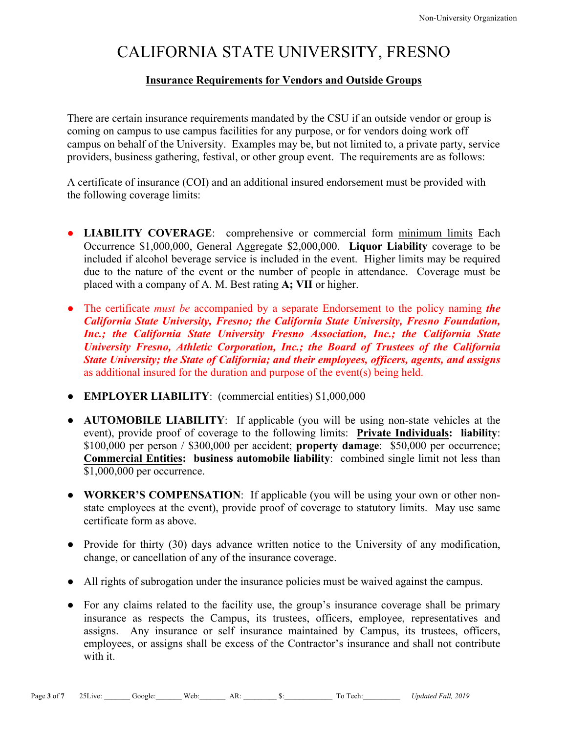# CALIFORNIA STATE UNIVERSITY, FRESNO

#### **Insurance Requirements for Vendors and Outside Groups**

There are certain insurance requirements mandated by the CSU if an outside vendor or group is coming on campus to use campus facilities for any purpose, or for vendors doing work off campus on behalf of the University. Examples may be, but not limited to, a private party, service providers, business gathering, festival, or other group event. The requirements are as follows:

A certificate of insurance (COI) and an additional insured endorsement must be provided with the following coverage limits:

- **LIABILITY COVERAGE**: comprehensive or commercial form minimum limits Each Occurrence \$1,000,000, General Aggregate \$2,000,000. **Liquor Liability** coverage to be included if alcohol beverage service is included in the event. Higher limits may be required due to the nature of the event or the number of people in attendance. Coverage must be placed with a company of A. M. Best rating **A; VII** or higher.
- The certificate *must be* accompanied by a separate Endorsement to the policy naming *the California State University, Fresno; the California State University, Fresno Foundation, Inc.; the California State University Fresno Association, Inc.; the California State University Fresno, Athletic Corporation, Inc.; the Board of Trustees of the California State University; the State of California; and their employees, officers, agents, and assigns*  as additional insured for the duration and purpose of the event(s) being held.
- **EMPLOYER LIABILITY**: (commercial entities) \$1,000,000
- **AUTOMOBILE LIABILITY**: If applicable (you will be using non-state vehicles at the event), provide proof of coverage to the following limits: **Private Individuals: liability**: \$100,000 per person / \$300,000 per accident; **property damage**: \$50,000 per occurrence; **Commercial Entities: business automobile liability**: combined single limit not less than \$1,000,000 per occurrence.
- **WORKER'S COMPENSATION**: If applicable (you will be using your own or other nonstate employees at the event), provide proof of coverage to statutory limits. May use same certificate form as above.
- Provide for thirty (30) days advance written notice to the University of any modification, change, or cancellation of any of the insurance coverage.
- All rights of subrogation under the insurance policies must be waived against the campus.
- For any claims related to the facility use, the group's insurance coverage shall be primary insurance as respects the Campus, its trustees, officers, employee, representatives and assigns. Any insurance or self insurance maintained by Campus, its trustees, officers, employees, or assigns shall be excess of the Contractor's insurance and shall not contribute with it.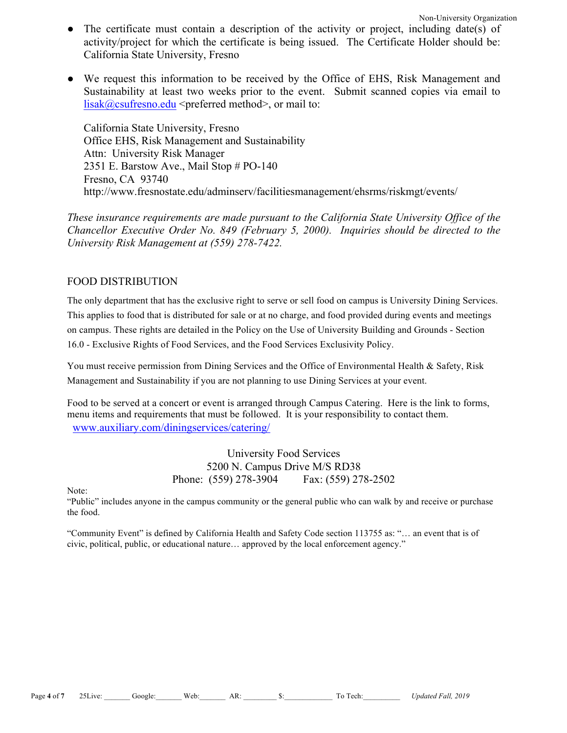- The certificate must contain a description of the activity or project, including date(s) of activity/project for which the certificate is being issued. The Certificate Holder should be: California State University, Fresno
- We request this information to be received by the Office of EHS, Risk Management and Sustainability at least two weeks prior to the event. Submit scanned copies via email to  $lisak@csufresno.edu <$ preferred method>, or mail to:

California State University, Fresno Office EHS, Risk Management and Sustainability Attn: University Risk Manager 2351 E. Barstow Ave., Mail Stop # PO-140 Fresno, CA 93740 http://www.fresnostate.edu/adminserv/facilitiesmanagement/ehsrms/riskmgt/events/

*These insurance requirements are made pursuant to the California State University Office of the Chancellor Executive Order No. 849 (February 5, 2000). Inquiries should be directed to the University Risk Management at (559) 278-7422.*

#### FOOD DISTRIBUTION

The only department that has the exclusive right to serve or sell food on campus is University Dining Services. This applies to food that is distributed for sale or at no charge, and food provided during events and meetings on campus. These rights are detailed in the Policy on the Use of University Building and Grounds - Section 16.0 - Exclusive Rights of Food Services, and the Food Services Exclusivity Policy.

You must receive permission from Dining Services and the Office of Environmental Health & Safety, Risk Management and Sustainability if you are not planning to use Dining Services at your event.

Food to be served at a concert or event is arranged through Campus Catering. Here is the link to forms, menu items and requirements that must be followed. It is your responsibility to contact them. www.auxiliary.com/diningservices/catering/

> University Food Services 5200 N. Campus Drive M/S RD38 Phone: (559) 278-3904 Fax: (559) 278-2502

Note:

"Public" includes anyone in the campus community or the general public who can walk by and receive or purchase the food.

"Community Event" is defined by California Health and Safety Code section 113755 as: "… an event that is of civic, political, public, or educational nature… approved by the local enforcement agency."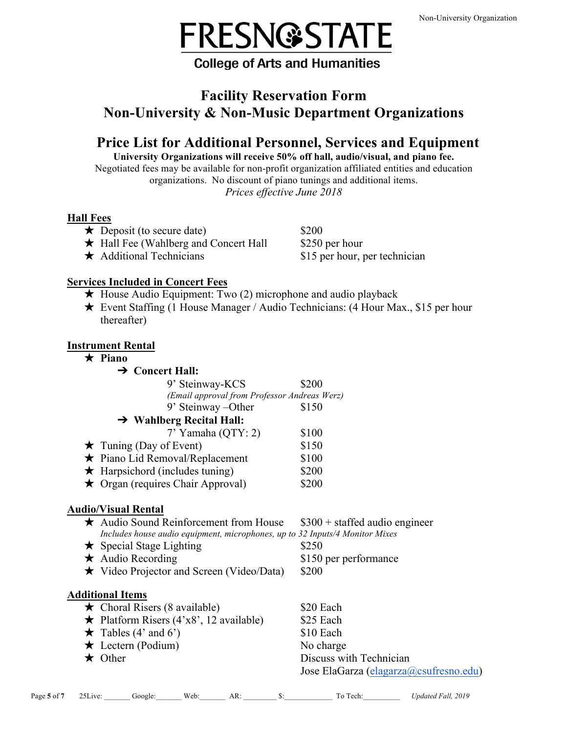

## **College of Arts and Humanities**

## **Facility Reservation Form Non-University & Non-Music Department Organizations**

# **Price List for Additional Personnel, Services and Equipment**

**University Organizations will receive 50% off hall, audio/visual, and piano fee.** Negotiated fees may be available for non-profit organization affiliated entities and education organizations. No discount of piano tunings and additional items. *Prices effective June 2018*

### **Hall Fees**

- $\star$  Deposit (to secure date) \$200
- **★** Hall Fee (Wahlberg and Concert Hall \$250 per hour
- 

 $\star$  Additional Technicians \$15 per hour, per technician

#### **Services Included in Concert Fees**

- ★ House Audio Equipment: Two (2) microphone and audio playback
- ★ Event Staffing (1 House Manager / Audio Technicians: (4 Hour Max., \$15 per hour thereafter)

#### **Instrument Rental**

| $\star$ Piano                                                                |                                 |
|------------------------------------------------------------------------------|---------------------------------|
| $\rightarrow$ Concert Hall:                                                  |                                 |
| 9' Steinway-KCS                                                              | \$200                           |
| (Email approval from Professor Andreas Werz)                                 |                                 |
| 9' Steinway – Other                                                          | \$150                           |
| $\rightarrow$ Wahlberg Recital Hall:                                         |                                 |
| $7'$ Yamaha (QTY: 2)                                                         | \$100                           |
| $\star$ Tuning (Day of Event)                                                | \$150                           |
| $\star$ Piano Lid Removal/Replacement                                        | \$100                           |
| $\star$ Harpsichord (includes tuning)                                        | \$200                           |
| $\star$ Organ (requires Chair Approval)                                      | \$200                           |
| <b>Audio/Visual Rental</b>                                                   |                                 |
| $\star$ Audio Sound Reinforcement from House                                 | $$300 +$ staffed audio engineer |
| Includes house audio equipment, microphones, up to 32 Inputs/4 Monitor Mixes |                                 |
| $\star$ Special Stage Lighting                                               | \$250                           |

- $\star$  Audio Recording \$150 per performance
- ★ Video Projector and Screen (Video/Data) \$200

### **Additional Items**

| $\star$ Choral Risers (8 available)           | \$20 Each                              |
|-----------------------------------------------|----------------------------------------|
| $\star$ Platform Risers (4'x8', 12 available) | \$25 Each                              |
| $\star$ Tables (4' and 6')                    | \$10 Each                              |
| $\star$ Lectern (Podium)                      | No charge                              |
| $\star$ Other                                 | Discuss with Technician                |
|                                               | Jose ElaGarza (elagarza@csufresno.edu) |

|             | $\Omega$ $\Gamma$         |        |      |     | -<br>--     |                                     |
|-------------|---------------------------|--------|------|-----|-------------|-------------------------------------|
| Page 5 of " | 1V <sub>e</sub><br>.) L J | 100gle | Veb: | AR. | Tech.<br>ľΩ | <i>Fall.</i> 2019<br><i>Jpdated</i> |
|             |                           |        |      |     |             |                                     |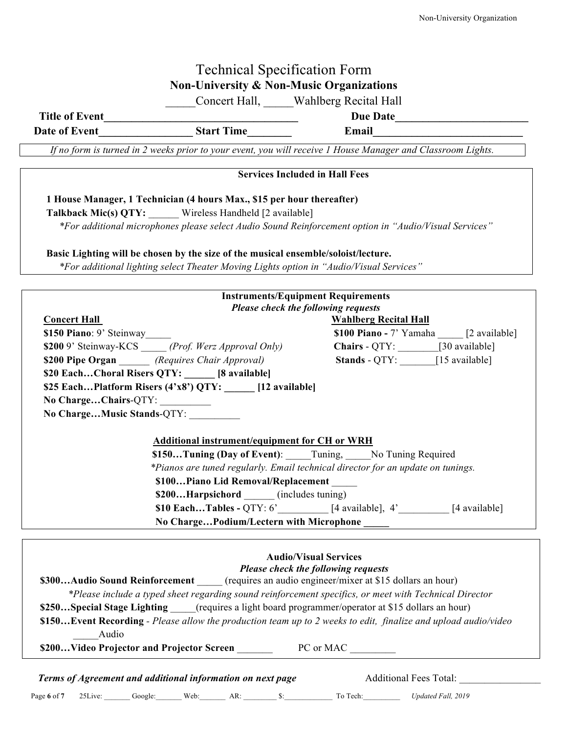## Technical Specification Form **Non-University & Non-Music Organizations**

\_\_\_\_\_Concert Hall, \_\_\_\_\_Wahlberg Recital Hall

**Title of Event** Date of Event Time Email

*If no form is turned in 2 weeks prior to your event, you will receive 1 House Manager and Classroom Lights.*

# **Services Included in Hall Fees 1 House Manager, 1 Technician (4 hours Max., \$15 per hour thereafter) Talkback Mic(s) QTY:** Wireless Handheld [2 available]  *\*For additional microphones please select Audio Sound Reinforcement option in "Audio/Visual Services"* **Basic Lighting will be chosen by the size of the musical ensemble/soloist/lecture.** *\*For additional lighting select Theater Moving Lights option in "Audio/Visual Services"* **Instruments/Equipment Requirements** *Please check the following requests* **Concert Hall Wahlberg Recital Hall \$150 Piano**: 9' Steinway **\$100 Piano -** 7' Yamaha [2 available] **\$200** 9' Steinway-KCS \_\_\_\_\_ *(Prof. Werz Approval Only)* **Chairs** - QTY: \_\_\_\_\_\_\_\_[30 available] **\$200 Pipe Organ** *(Requires Chair Approval)* **Stands** - QTY: [15 available] **\$20 Each…Choral Risers QTY: \_\_\_\_\_\_ [8 available] \$25 Each…Platform Risers (4'x8') QTY: \_\_\_\_\_\_ [12 available] No Charge…Chairs**-QTY: \_\_\_\_\_\_\_\_\_\_ **No Charge…Music Stands**-QTY: \_\_\_\_\_\_\_\_\_\_  **Additional instrument/equipment for CH or WRH \$150…Tuning (Day of Event)**: \_\_\_\_\_Tuning, \_\_\_\_\_No Tuning Required *\*Pianos are tuned regularly. Email technical director for an update on tunings.*  **\$100…Piano Lid Removal/Replacement** \_\_\_\_\_ \$200...Harpsichord (includes tuning)  **\$10 Each…Tables -** QTY: 6'\_\_\_\_\_\_\_\_\_\_ [4 available], 4'\_\_\_\_\_\_\_\_\_\_ [4 available]  **No Charge…Podium/Lectern with Microphone \_\_\_\_\_ Audio/Visual Services** *Please check the following requests* **\$300...Audio** Sound Reinforcement (requires an audio engineer/mixer at \$15 dollars an hour) *\*Please include a typed sheet regarding sound reinforcement specifics, or meet with Technical Director* **\$250…Special Stage Lighting** (requires a light board programmer/operator at \$15 dollars an hour) **\$150…Event Recording** *- Please allow the production team up to 2 weeks to edit, finalize and upload audio/video* \_\_\_\_\_Audio \$200...Video Projector and Projector Screen \_\_\_\_\_\_\_ PC or MAC \_\_\_\_\_\_\_

*Terms of Agreement and additional information on next page* **Additional Fees Total:** 

Page **6** of **7** 25Live: \_\_\_\_\_\_\_ Google:\_\_\_\_\_\_\_ Web:\_\_\_\_\_\_\_ AR: \_\_\_\_\_\_\_\_\_ \$:\_\_\_\_\_\_\_\_\_\_\_\_\_ To Tech:\_\_\_\_\_\_\_\_\_\_ *Updated Fall, 2019*